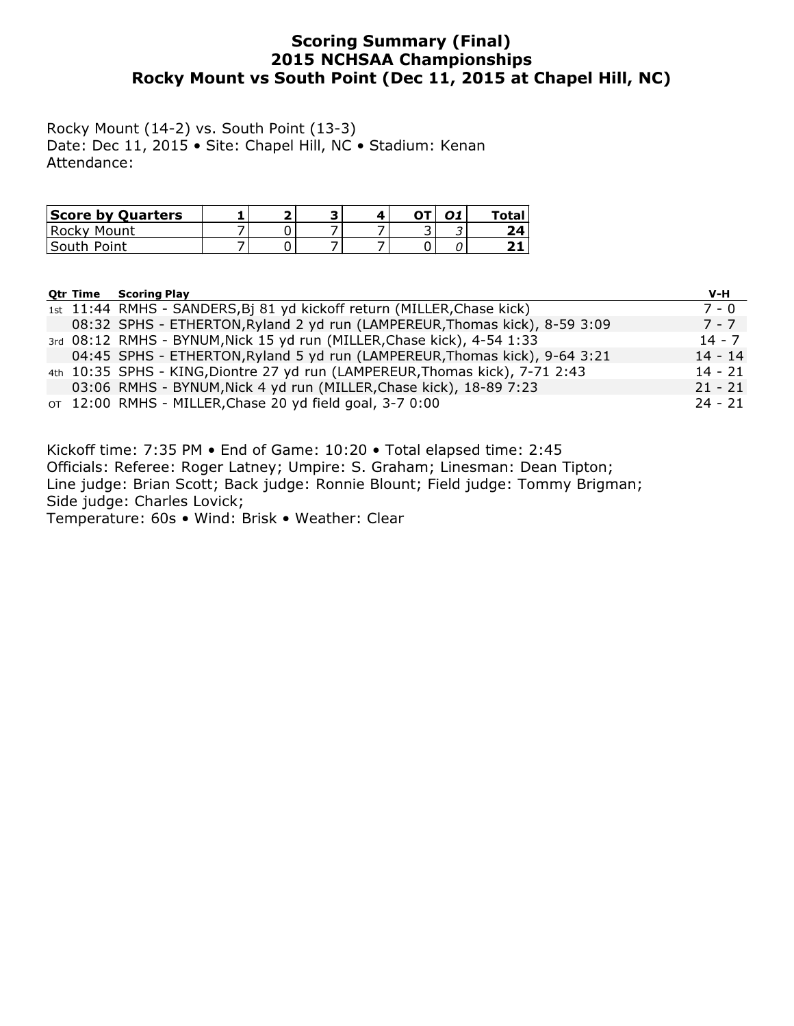## Scoring Summary (Final) 2015 NCHSAA Championships Rocky Mount vs South Point (Dec 11, 2015 at Chapel Hill, NC)

Rocky Mount (14-2) vs. South Point (13-3) Date: Dec 11, 2015 • Site: Chapel Hill, NC • Stadium: Kenan Attendance:

| <b>Score by Quarters</b> |  | ∽ | ΩT | $\mathbf{A}$ | "otal |
|--------------------------|--|---|----|--------------|-------|
| Rocky Mount              |  |   |    |              |       |
| South Point              |  |   |    |              |       |

|  | <b>Otr Time Scoring Play</b>                                                 | V-H       |
|--|------------------------------------------------------------------------------|-----------|
|  | 1st 11:44 RMHS - SANDERS, Bj 81 yd kickoff return (MILLER, Chase kick)       | $7 - 0$   |
|  | 08:32 SPHS - ETHERTON, Ryland 2 yd run (LAMPEREUR, Thomas kick), 8-59 3:09   | 7 - 7     |
|  | 3rd 08:12 RMHS - BYNUM, Nick 15 yd run (MILLER, Chase kick), 4-54 1:33       | $14 - 7$  |
|  | 04:45 SPHS - ETHERTON, Ryland 5 yd run (LAMPEREUR, Thomas kick), 9-64 3:21   | $14 - 14$ |
|  | 4th 10:35 SPHS - KING, Diontre 27 yd run (LAMPEREUR, Thomas kick), 7-71 2:43 | $14 - 21$ |
|  | 03:06 RMHS - BYNUM, Nick 4 yd run (MILLER, Chase kick), 18-89 7:23           | $21 - 21$ |
|  | OT 12:00 RMHS - MILLER, Chase 20 yd field goal, 3-7 0:00                     | $24 - 21$ |

Kickoff time: 7:35 PM • End of Game: 10:20 • Total elapsed time: 2:45 Officials: Referee: Roger Latney; Umpire: S. Graham; Linesman: Dean Tipton; Line judge: Brian Scott; Back judge: Ronnie Blount; Field judge: Tommy Brigman; Side judge: Charles Lovick; Temperature: 60s • Wind: Brisk • Weather: Clear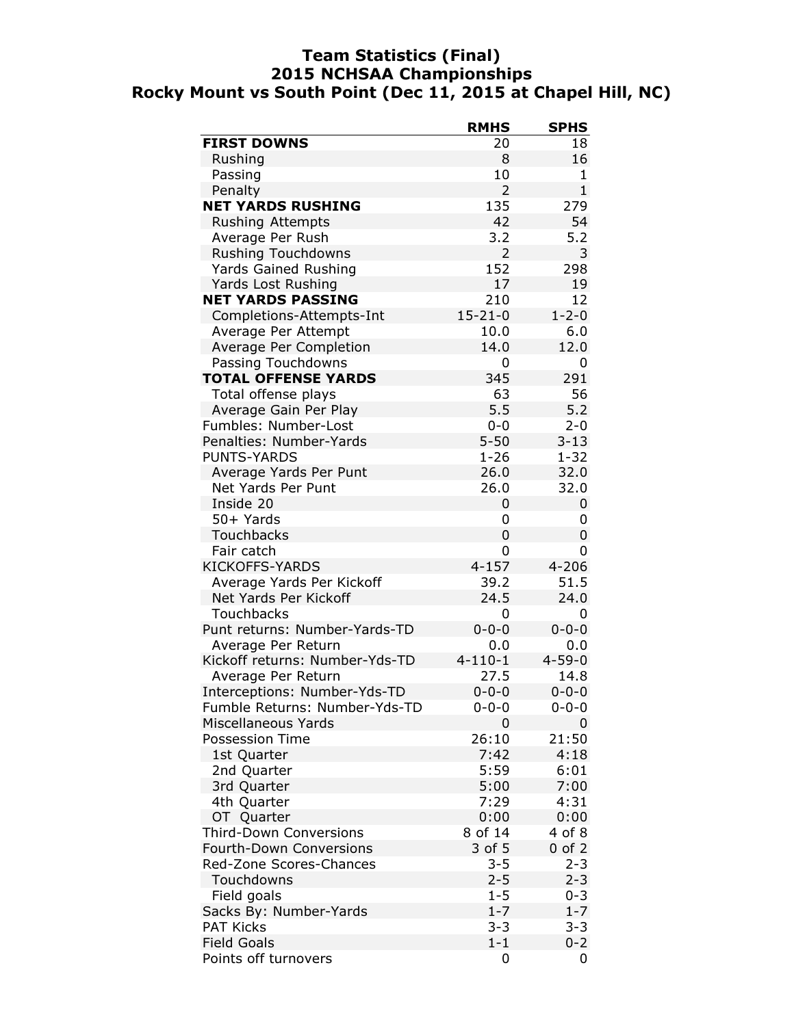### Team Statistics (Final) 2015 NCHSAA Championships Rocky Mount vs South Point (Dec 11, 2015 at Chapel Hill, NC)

| <b>FIRST DOWNS</b><br>18<br>20<br>8<br>Rushing<br>16<br>Passing<br>10<br>1<br>$\overline{2}$<br>$\mathbf{1}$<br>Penalty<br><b>NET YARDS RUSHING</b><br>135<br>279<br><b>Rushing Attempts</b><br>42<br>54<br>3.2<br>5.2<br>Average Per Rush<br><b>Rushing Touchdowns</b><br>$\overline{2}$<br>3<br>152<br>Yards Gained Rushing<br>298<br>Yards Lost Rushing<br>17<br>19<br><b>NET YARDS PASSING</b><br>210<br>12<br>$15 - 21 - 0$<br>$1 - 2 - 0$<br>Completions-Attempts-Int<br>6.0<br>Average Per Attempt<br>10.0<br>12.0<br>Average Per Completion<br>14.0<br>Passing Touchdowns<br>0<br>0<br><b>TOTAL OFFENSE YARDS</b><br>345<br>291<br>Total offense plays<br>63<br>56<br>5.5<br>5.2<br>Average Gain Per Play<br>Fumbles: Number-Lost<br>$2 - 0$<br>$0 - 0$<br>Penalties: Number-Yards<br>$5 - 50$<br>$3 - 13$<br><b>PUNTS-YARDS</b><br>$1 - 26$<br>$1 - 32$<br>26.0<br>32.0<br>Average Yards Per Punt<br>32.0<br>Net Yards Per Punt<br>26.0<br>Inside 20<br>0<br>0<br>50+ Yards<br>0<br>0<br><b>Touchbacks</b><br>0<br>0<br>Fair catch<br>0<br>0<br><b>KICKOFFS-YARDS</b><br>$4 - 157$<br>$4 - 206$<br>Average Yards Per Kickoff<br>51.5<br>39.2<br>Net Yards Per Kickoff<br>24.5<br>24.0<br>Touchbacks<br>0<br>0<br>Punt returns: Number-Yards-TD<br>$0 - 0 - 0$<br>$0 - 0 - 0$<br>Average Per Return<br>0.0<br>0.0<br>Kickoff returns: Number-Yds-TD<br>$4 - 110 - 1$<br>$4 - 59 - 0$<br>27.5<br>14.8<br>Average Per Return<br>$0 - 0 - 0$<br>Interceptions: Number-Yds-TD<br>$0 - 0 - 0$<br>Fumble Returns: Number-Yds-TD<br>$0 - 0 - 0$<br>$0 - 0 - 0$<br>Miscellaneous Yards<br>0<br>Ω<br>26:10<br>21:50<br>Possession Time<br>7:42<br>4:18<br>1st Quarter<br>5:59<br>6:01<br>2nd Quarter<br>5:00<br>7:00<br>3rd Quarter<br>7:29<br>4:31<br>4th Quarter<br>OT Quarter<br>0:00<br>0:00<br><b>Third-Down Conversions</b><br>8 of 14<br>4 of 8<br><b>Fourth-Down Conversions</b><br>3 of 5<br>$0$ of $2$<br>Red-Zone Scores-Chances<br>$3 - 5$<br>$2 - 3$<br>$2 - 5$<br>$2 - 3$<br>Touchdowns<br>$1 - 5$<br>Field goals<br>$0 - 3$<br>Sacks By: Number-Yards<br>$1 - 7$<br>$1 - 7$<br>$3 - 3$<br>$3 - 3$<br><b>PAT Kicks</b><br><b>Field Goals</b><br>$1 - 1$<br>$0 - 2$<br>Points off turnovers<br>0<br>0 | <b>RMHS</b> | <b>SPHS</b> |
|-------------------------------------------------------------------------------------------------------------------------------------------------------------------------------------------------------------------------------------------------------------------------------------------------------------------------------------------------------------------------------------------------------------------------------------------------------------------------------------------------------------------------------------------------------------------------------------------------------------------------------------------------------------------------------------------------------------------------------------------------------------------------------------------------------------------------------------------------------------------------------------------------------------------------------------------------------------------------------------------------------------------------------------------------------------------------------------------------------------------------------------------------------------------------------------------------------------------------------------------------------------------------------------------------------------------------------------------------------------------------------------------------------------------------------------------------------------------------------------------------------------------------------------------------------------------------------------------------------------------------------------------------------------------------------------------------------------------------------------------------------------------------------------------------------------------------------------------------------------------------------------------------------------------------------------------------------------------------------------------------------------------------------------------------------------------------------------------------------------------------------------------------------------------------------------------------------------------|-------------|-------------|
|                                                                                                                                                                                                                                                                                                                                                                                                                                                                                                                                                                                                                                                                                                                                                                                                                                                                                                                                                                                                                                                                                                                                                                                                                                                                                                                                                                                                                                                                                                                                                                                                                                                                                                                                                                                                                                                                                                                                                                                                                                                                                                                                                                                                                   |             |             |
|                                                                                                                                                                                                                                                                                                                                                                                                                                                                                                                                                                                                                                                                                                                                                                                                                                                                                                                                                                                                                                                                                                                                                                                                                                                                                                                                                                                                                                                                                                                                                                                                                                                                                                                                                                                                                                                                                                                                                                                                                                                                                                                                                                                                                   |             |             |
|                                                                                                                                                                                                                                                                                                                                                                                                                                                                                                                                                                                                                                                                                                                                                                                                                                                                                                                                                                                                                                                                                                                                                                                                                                                                                                                                                                                                                                                                                                                                                                                                                                                                                                                                                                                                                                                                                                                                                                                                                                                                                                                                                                                                                   |             |             |
|                                                                                                                                                                                                                                                                                                                                                                                                                                                                                                                                                                                                                                                                                                                                                                                                                                                                                                                                                                                                                                                                                                                                                                                                                                                                                                                                                                                                                                                                                                                                                                                                                                                                                                                                                                                                                                                                                                                                                                                                                                                                                                                                                                                                                   |             |             |
|                                                                                                                                                                                                                                                                                                                                                                                                                                                                                                                                                                                                                                                                                                                                                                                                                                                                                                                                                                                                                                                                                                                                                                                                                                                                                                                                                                                                                                                                                                                                                                                                                                                                                                                                                                                                                                                                                                                                                                                                                                                                                                                                                                                                                   |             |             |
|                                                                                                                                                                                                                                                                                                                                                                                                                                                                                                                                                                                                                                                                                                                                                                                                                                                                                                                                                                                                                                                                                                                                                                                                                                                                                                                                                                                                                                                                                                                                                                                                                                                                                                                                                                                                                                                                                                                                                                                                                                                                                                                                                                                                                   |             |             |
|                                                                                                                                                                                                                                                                                                                                                                                                                                                                                                                                                                                                                                                                                                                                                                                                                                                                                                                                                                                                                                                                                                                                                                                                                                                                                                                                                                                                                                                                                                                                                                                                                                                                                                                                                                                                                                                                                                                                                                                                                                                                                                                                                                                                                   |             |             |
|                                                                                                                                                                                                                                                                                                                                                                                                                                                                                                                                                                                                                                                                                                                                                                                                                                                                                                                                                                                                                                                                                                                                                                                                                                                                                                                                                                                                                                                                                                                                                                                                                                                                                                                                                                                                                                                                                                                                                                                                                                                                                                                                                                                                                   |             |             |
|                                                                                                                                                                                                                                                                                                                                                                                                                                                                                                                                                                                                                                                                                                                                                                                                                                                                                                                                                                                                                                                                                                                                                                                                                                                                                                                                                                                                                                                                                                                                                                                                                                                                                                                                                                                                                                                                                                                                                                                                                                                                                                                                                                                                                   |             |             |
|                                                                                                                                                                                                                                                                                                                                                                                                                                                                                                                                                                                                                                                                                                                                                                                                                                                                                                                                                                                                                                                                                                                                                                                                                                                                                                                                                                                                                                                                                                                                                                                                                                                                                                                                                                                                                                                                                                                                                                                                                                                                                                                                                                                                                   |             |             |
|                                                                                                                                                                                                                                                                                                                                                                                                                                                                                                                                                                                                                                                                                                                                                                                                                                                                                                                                                                                                                                                                                                                                                                                                                                                                                                                                                                                                                                                                                                                                                                                                                                                                                                                                                                                                                                                                                                                                                                                                                                                                                                                                                                                                                   |             |             |
|                                                                                                                                                                                                                                                                                                                                                                                                                                                                                                                                                                                                                                                                                                                                                                                                                                                                                                                                                                                                                                                                                                                                                                                                                                                                                                                                                                                                                                                                                                                                                                                                                                                                                                                                                                                                                                                                                                                                                                                                                                                                                                                                                                                                                   |             |             |
|                                                                                                                                                                                                                                                                                                                                                                                                                                                                                                                                                                                                                                                                                                                                                                                                                                                                                                                                                                                                                                                                                                                                                                                                                                                                                                                                                                                                                                                                                                                                                                                                                                                                                                                                                                                                                                                                                                                                                                                                                                                                                                                                                                                                                   |             |             |
|                                                                                                                                                                                                                                                                                                                                                                                                                                                                                                                                                                                                                                                                                                                                                                                                                                                                                                                                                                                                                                                                                                                                                                                                                                                                                                                                                                                                                                                                                                                                                                                                                                                                                                                                                                                                                                                                                                                                                                                                                                                                                                                                                                                                                   |             |             |
|                                                                                                                                                                                                                                                                                                                                                                                                                                                                                                                                                                                                                                                                                                                                                                                                                                                                                                                                                                                                                                                                                                                                                                                                                                                                                                                                                                                                                                                                                                                                                                                                                                                                                                                                                                                                                                                                                                                                                                                                                                                                                                                                                                                                                   |             |             |
|                                                                                                                                                                                                                                                                                                                                                                                                                                                                                                                                                                                                                                                                                                                                                                                                                                                                                                                                                                                                                                                                                                                                                                                                                                                                                                                                                                                                                                                                                                                                                                                                                                                                                                                                                                                                                                                                                                                                                                                                                                                                                                                                                                                                                   |             |             |
|                                                                                                                                                                                                                                                                                                                                                                                                                                                                                                                                                                                                                                                                                                                                                                                                                                                                                                                                                                                                                                                                                                                                                                                                                                                                                                                                                                                                                                                                                                                                                                                                                                                                                                                                                                                                                                                                                                                                                                                                                                                                                                                                                                                                                   |             |             |
|                                                                                                                                                                                                                                                                                                                                                                                                                                                                                                                                                                                                                                                                                                                                                                                                                                                                                                                                                                                                                                                                                                                                                                                                                                                                                                                                                                                                                                                                                                                                                                                                                                                                                                                                                                                                                                                                                                                                                                                                                                                                                                                                                                                                                   |             |             |
|                                                                                                                                                                                                                                                                                                                                                                                                                                                                                                                                                                                                                                                                                                                                                                                                                                                                                                                                                                                                                                                                                                                                                                                                                                                                                                                                                                                                                                                                                                                                                                                                                                                                                                                                                                                                                                                                                                                                                                                                                                                                                                                                                                                                                   |             |             |
|                                                                                                                                                                                                                                                                                                                                                                                                                                                                                                                                                                                                                                                                                                                                                                                                                                                                                                                                                                                                                                                                                                                                                                                                                                                                                                                                                                                                                                                                                                                                                                                                                                                                                                                                                                                                                                                                                                                                                                                                                                                                                                                                                                                                                   |             |             |
|                                                                                                                                                                                                                                                                                                                                                                                                                                                                                                                                                                                                                                                                                                                                                                                                                                                                                                                                                                                                                                                                                                                                                                                                                                                                                                                                                                                                                                                                                                                                                                                                                                                                                                                                                                                                                                                                                                                                                                                                                                                                                                                                                                                                                   |             |             |
|                                                                                                                                                                                                                                                                                                                                                                                                                                                                                                                                                                                                                                                                                                                                                                                                                                                                                                                                                                                                                                                                                                                                                                                                                                                                                                                                                                                                                                                                                                                                                                                                                                                                                                                                                                                                                                                                                                                                                                                                                                                                                                                                                                                                                   |             |             |
|                                                                                                                                                                                                                                                                                                                                                                                                                                                                                                                                                                                                                                                                                                                                                                                                                                                                                                                                                                                                                                                                                                                                                                                                                                                                                                                                                                                                                                                                                                                                                                                                                                                                                                                                                                                                                                                                                                                                                                                                                                                                                                                                                                                                                   |             |             |
|                                                                                                                                                                                                                                                                                                                                                                                                                                                                                                                                                                                                                                                                                                                                                                                                                                                                                                                                                                                                                                                                                                                                                                                                                                                                                                                                                                                                                                                                                                                                                                                                                                                                                                                                                                                                                                                                                                                                                                                                                                                                                                                                                                                                                   |             |             |
|                                                                                                                                                                                                                                                                                                                                                                                                                                                                                                                                                                                                                                                                                                                                                                                                                                                                                                                                                                                                                                                                                                                                                                                                                                                                                                                                                                                                                                                                                                                                                                                                                                                                                                                                                                                                                                                                                                                                                                                                                                                                                                                                                                                                                   |             |             |
|                                                                                                                                                                                                                                                                                                                                                                                                                                                                                                                                                                                                                                                                                                                                                                                                                                                                                                                                                                                                                                                                                                                                                                                                                                                                                                                                                                                                                                                                                                                                                                                                                                                                                                                                                                                                                                                                                                                                                                                                                                                                                                                                                                                                                   |             |             |
|                                                                                                                                                                                                                                                                                                                                                                                                                                                                                                                                                                                                                                                                                                                                                                                                                                                                                                                                                                                                                                                                                                                                                                                                                                                                                                                                                                                                                                                                                                                                                                                                                                                                                                                                                                                                                                                                                                                                                                                                                                                                                                                                                                                                                   |             |             |
|                                                                                                                                                                                                                                                                                                                                                                                                                                                                                                                                                                                                                                                                                                                                                                                                                                                                                                                                                                                                                                                                                                                                                                                                                                                                                                                                                                                                                                                                                                                                                                                                                                                                                                                                                                                                                                                                                                                                                                                                                                                                                                                                                                                                                   |             |             |
|                                                                                                                                                                                                                                                                                                                                                                                                                                                                                                                                                                                                                                                                                                                                                                                                                                                                                                                                                                                                                                                                                                                                                                                                                                                                                                                                                                                                                                                                                                                                                                                                                                                                                                                                                                                                                                                                                                                                                                                                                                                                                                                                                                                                                   |             |             |
|                                                                                                                                                                                                                                                                                                                                                                                                                                                                                                                                                                                                                                                                                                                                                                                                                                                                                                                                                                                                                                                                                                                                                                                                                                                                                                                                                                                                                                                                                                                                                                                                                                                                                                                                                                                                                                                                                                                                                                                                                                                                                                                                                                                                                   |             |             |
|                                                                                                                                                                                                                                                                                                                                                                                                                                                                                                                                                                                                                                                                                                                                                                                                                                                                                                                                                                                                                                                                                                                                                                                                                                                                                                                                                                                                                                                                                                                                                                                                                                                                                                                                                                                                                                                                                                                                                                                                                                                                                                                                                                                                                   |             |             |
|                                                                                                                                                                                                                                                                                                                                                                                                                                                                                                                                                                                                                                                                                                                                                                                                                                                                                                                                                                                                                                                                                                                                                                                                                                                                                                                                                                                                                                                                                                                                                                                                                                                                                                                                                                                                                                                                                                                                                                                                                                                                                                                                                                                                                   |             |             |
|                                                                                                                                                                                                                                                                                                                                                                                                                                                                                                                                                                                                                                                                                                                                                                                                                                                                                                                                                                                                                                                                                                                                                                                                                                                                                                                                                                                                                                                                                                                                                                                                                                                                                                                                                                                                                                                                                                                                                                                                                                                                                                                                                                                                                   |             |             |
|                                                                                                                                                                                                                                                                                                                                                                                                                                                                                                                                                                                                                                                                                                                                                                                                                                                                                                                                                                                                                                                                                                                                                                                                                                                                                                                                                                                                                                                                                                                                                                                                                                                                                                                                                                                                                                                                                                                                                                                                                                                                                                                                                                                                                   |             |             |
|                                                                                                                                                                                                                                                                                                                                                                                                                                                                                                                                                                                                                                                                                                                                                                                                                                                                                                                                                                                                                                                                                                                                                                                                                                                                                                                                                                                                                                                                                                                                                                                                                                                                                                                                                                                                                                                                                                                                                                                                                                                                                                                                                                                                                   |             |             |
|                                                                                                                                                                                                                                                                                                                                                                                                                                                                                                                                                                                                                                                                                                                                                                                                                                                                                                                                                                                                                                                                                                                                                                                                                                                                                                                                                                                                                                                                                                                                                                                                                                                                                                                                                                                                                                                                                                                                                                                                                                                                                                                                                                                                                   |             |             |
|                                                                                                                                                                                                                                                                                                                                                                                                                                                                                                                                                                                                                                                                                                                                                                                                                                                                                                                                                                                                                                                                                                                                                                                                                                                                                                                                                                                                                                                                                                                                                                                                                                                                                                                                                                                                                                                                                                                                                                                                                                                                                                                                                                                                                   |             |             |
|                                                                                                                                                                                                                                                                                                                                                                                                                                                                                                                                                                                                                                                                                                                                                                                                                                                                                                                                                                                                                                                                                                                                                                                                                                                                                                                                                                                                                                                                                                                                                                                                                                                                                                                                                                                                                                                                                                                                                                                                                                                                                                                                                                                                                   |             |             |
|                                                                                                                                                                                                                                                                                                                                                                                                                                                                                                                                                                                                                                                                                                                                                                                                                                                                                                                                                                                                                                                                                                                                                                                                                                                                                                                                                                                                                                                                                                                                                                                                                                                                                                                                                                                                                                                                                                                                                                                                                                                                                                                                                                                                                   |             |             |
|                                                                                                                                                                                                                                                                                                                                                                                                                                                                                                                                                                                                                                                                                                                                                                                                                                                                                                                                                                                                                                                                                                                                                                                                                                                                                                                                                                                                                                                                                                                                                                                                                                                                                                                                                                                                                                                                                                                                                                                                                                                                                                                                                                                                                   |             |             |
|                                                                                                                                                                                                                                                                                                                                                                                                                                                                                                                                                                                                                                                                                                                                                                                                                                                                                                                                                                                                                                                                                                                                                                                                                                                                                                                                                                                                                                                                                                                                                                                                                                                                                                                                                                                                                                                                                                                                                                                                                                                                                                                                                                                                                   |             |             |
|                                                                                                                                                                                                                                                                                                                                                                                                                                                                                                                                                                                                                                                                                                                                                                                                                                                                                                                                                                                                                                                                                                                                                                                                                                                                                                                                                                                                                                                                                                                                                                                                                                                                                                                                                                                                                                                                                                                                                                                                                                                                                                                                                                                                                   |             |             |
|                                                                                                                                                                                                                                                                                                                                                                                                                                                                                                                                                                                                                                                                                                                                                                                                                                                                                                                                                                                                                                                                                                                                                                                                                                                                                                                                                                                                                                                                                                                                                                                                                                                                                                                                                                                                                                                                                                                                                                                                                                                                                                                                                                                                                   |             |             |
|                                                                                                                                                                                                                                                                                                                                                                                                                                                                                                                                                                                                                                                                                                                                                                                                                                                                                                                                                                                                                                                                                                                                                                                                                                                                                                                                                                                                                                                                                                                                                                                                                                                                                                                                                                                                                                                                                                                                                                                                                                                                                                                                                                                                                   |             |             |
|                                                                                                                                                                                                                                                                                                                                                                                                                                                                                                                                                                                                                                                                                                                                                                                                                                                                                                                                                                                                                                                                                                                                                                                                                                                                                                                                                                                                                                                                                                                                                                                                                                                                                                                                                                                                                                                                                                                                                                                                                                                                                                                                                                                                                   |             |             |
|                                                                                                                                                                                                                                                                                                                                                                                                                                                                                                                                                                                                                                                                                                                                                                                                                                                                                                                                                                                                                                                                                                                                                                                                                                                                                                                                                                                                                                                                                                                                                                                                                                                                                                                                                                                                                                                                                                                                                                                                                                                                                                                                                                                                                   |             |             |
|                                                                                                                                                                                                                                                                                                                                                                                                                                                                                                                                                                                                                                                                                                                                                                                                                                                                                                                                                                                                                                                                                                                                                                                                                                                                                                                                                                                                                                                                                                                                                                                                                                                                                                                                                                                                                                                                                                                                                                                                                                                                                                                                                                                                                   |             |             |
|                                                                                                                                                                                                                                                                                                                                                                                                                                                                                                                                                                                                                                                                                                                                                                                                                                                                                                                                                                                                                                                                                                                                                                                                                                                                                                                                                                                                                                                                                                                                                                                                                                                                                                                                                                                                                                                                                                                                                                                                                                                                                                                                                                                                                   |             |             |
|                                                                                                                                                                                                                                                                                                                                                                                                                                                                                                                                                                                                                                                                                                                                                                                                                                                                                                                                                                                                                                                                                                                                                                                                                                                                                                                                                                                                                                                                                                                                                                                                                                                                                                                                                                                                                                                                                                                                                                                                                                                                                                                                                                                                                   |             |             |
|                                                                                                                                                                                                                                                                                                                                                                                                                                                                                                                                                                                                                                                                                                                                                                                                                                                                                                                                                                                                                                                                                                                                                                                                                                                                                                                                                                                                                                                                                                                                                                                                                                                                                                                                                                                                                                                                                                                                                                                                                                                                                                                                                                                                                   |             |             |
|                                                                                                                                                                                                                                                                                                                                                                                                                                                                                                                                                                                                                                                                                                                                                                                                                                                                                                                                                                                                                                                                                                                                                                                                                                                                                                                                                                                                                                                                                                                                                                                                                                                                                                                                                                                                                                                                                                                                                                                                                                                                                                                                                                                                                   |             |             |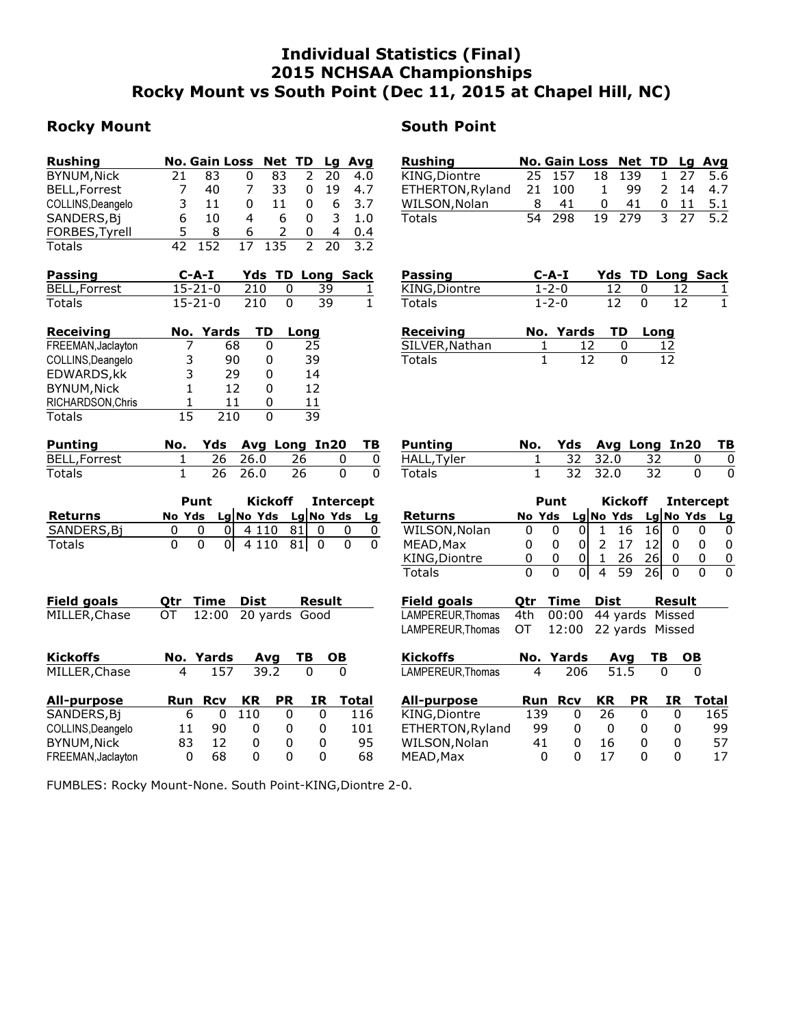# Individual Statistics (Final) 2015 NCHSAA Championships Rocky Mount vs South Point (Dec 11, 2015 at Chapel Hill, NC)

## Rocky Mount **Now South Point**

| <b>Rushing</b>       |    | No. Gain Loss Net TD |   |     |   |    | Lg Avg |
|----------------------|----|----------------------|---|-----|---|----|--------|
| BYNUM, Nick          | 21 | 83                   | 0 | 83  | 2 | 20 | 4.0    |
| <b>BELL, Forrest</b> |    | 40                   | 7 | 33  | 0 | 19 | 4.7    |
| COLLINS, Deangelo    | 3  | 11                   | 0 | 11  | 0 | 6  | 3.7    |
| SANDERS, Bj          | 6  | 10                   | 4 | 6   | O | 3  | 1.0    |
| FORBES, Tyrell       | 5. | 8                    | 6 | 2   | O | 4  | 0.4    |
| Totals               |    |                      |   | 135 |   | 20 |        |

| Passing              | $C-A-I$       |      | <b>Yds TD Long Sack</b> |  |
|----------------------|---------------|------|-------------------------|--|
| <b>BELL, Forrest</b> | $15 - 21 - 0$ | 210  | -39                     |  |
| Totals               | $15 - 21 - 0$ | -210 | -39                     |  |

| <b>Receiving</b>   |    | No. Yards | TD | Long |
|--------------------|----|-----------|----|------|
| FREEMAN, Jaclayton |    | 68        |    | 25   |
| COLLINS, Deangelo  | 3  | 90        | O  | 39   |
| EDWARDS, kk        | 3  | 29        |    | 14   |
| <b>BYNUM, Nick</b> |    | 12        | 0  | 12   |
| RICHARDSON, Chris  |    | 11        |    | 11   |
| <b>Totals</b>      | 15 | 210       |    | 39   |

| Punting      |  |         |              | No. Yds Avg Long In20 TB |  |
|--------------|--|---------|--------------|--------------------------|--|
| BELL,Forrest |  |         | 1 26 26.0 26 |                          |  |
| Totals       |  | 26 26.0 | - 26         |                          |  |

|             | Punt | Kickoff Intercept |                               |  |          |  |
|-------------|------|-------------------|-------------------------------|--|----------|--|
| Returns     |      |                   | No Yds Lg No Yds Lg No Yds Lg |  |          |  |
| SANDERS, Bi |      |                   | $0$   4 110 81  0             |  |          |  |
| Totals      |      |                   | $0$   4 110 81  0             |  | $\Omega$ |  |

| <b>Field goals</b> | Otr | Time                | Dist |           | Result |       |
|--------------------|-----|---------------------|------|-----------|--------|-------|
| MILLER, Chase      | ОT  | 12:00 20 yards Good |      |           |        |       |
| <b>Kickoffs</b>    |     | No. Yards           |      | Avg       | TВ     | OВ    |
| MILLER, Chase      | 4   | 157                 | 39.2 |           | 0      | 0     |
| <b>All-purpose</b> | Run | <b>R</b> cv         | KR   | <b>PR</b> | ΙR     | Total |
| SANDERS, Bj        |     | 6<br>0              | 110  | 0         | 0      | 116   |
| COLLINS, Deangelo  | 11  | 90                  | 0    | 0         | 0      | 101   |

BYNUM, Nick 83 12 0 0 0 95<br>FREEMAN, Jaclayton 0 68 0 0 0 68 FREEMAN, Jaclayton 0 68 0 0 0

| Rushing          |   |        | No. Gain Loss Net TD Lg Avg |        |  |            |
|------------------|---|--------|-----------------------------|--------|--|------------|
| KING,Diontre     |   | 25 157 |                             | 18 139 |  | 1 27 5.6   |
| ETHERTON, Ryland |   | 21 100 | $\mathbf{1}$                | -99    |  | 2 14 4.7   |
| WILSON, Nolan    | 8 | -41    | 0                           | 41     |  | $0$ 11 5.1 |
| Totals           |   | 54 298 |                             | 19 279 |  | 3 27 5.2   |

| <b>Passing</b> | C-A-I       |       | <b>Yds TD Long Sack</b> |              |
|----------------|-------------|-------|-------------------------|--------------|
| KING, Diontre  | $1 - 2 - 0$ | -12 - | - 12                    | -1           |
| Totals         | $1 - 2 - 0$ | -12.  | -12                     | $\mathbf{1}$ |

| Receiving      | No. Yards TD Long |    |
|----------------|-------------------|----|
| SILVER, Nathan | -12               | 12 |
| Totals         | 12                | 12 |

| Punting    |  |         |              | No. Yds Avg Long In20 TB |     |
|------------|--|---------|--------------|--------------------------|-----|
| HALL,Tyler |  |         | 1 32 32.0 32 |                          | - 0 |
| Totals     |  | 32 32.0 | 32           |                          | -0  |

|                |   | Punt   | Kickoff |             | Intercept |   |           |    |
|----------------|---|--------|---------|-------------|-----------|---|-----------|----|
| <b>Returns</b> |   | No Yds |         | $Lg$ No Yds |           |   | Lg No Yds | La |
| WILSON, Nolan  |   |        |         | 16          | 16l       |   |           |    |
| MEAD, Max      |   | 0      | 0       | 17          | 12I       |   |           |    |
| KING, Diontre  | 0 | 0      | 0       | 26          | 261       | 0 |           |    |
| Totals         |   |        | 0       | 59          | 26I       |   |           |    |

| Field goals                                | Qtr Time Dist | Result |
|--------------------------------------------|---------------|--------|
| LAMPEREUR,Thomas 4th 00:00 44 yards Missed |               |        |
| LAMPEREUR,Thomas OT 12:00 22 yards Missed  |               |        |

| Kickoffs         | No. Yards Avg TB OB |  |  |
|------------------|---------------------|--|--|
| LAMPEREUR,Thomas | 4 206 51.5 0        |  |  |

| All-purpose      | Run | <b>R</b> cv | <b>KR</b> | <b>PR</b> | IR. | Total |
|------------------|-----|-------------|-----------|-----------|-----|-------|
| KING,Diontre     | 139 |             | 26        |           |     | 165   |
| ETHERTON, Ryland | 99  |             |           |           |     | 99.   |
| WILSON, Nolan    | 41  |             | 16        |           |     | 57    |
| MEAD, Max        | O   |             | 17        |           |     | 17    |

FUMBLES: Rocky Mount-None. South Point-KING,Diontre 2-0.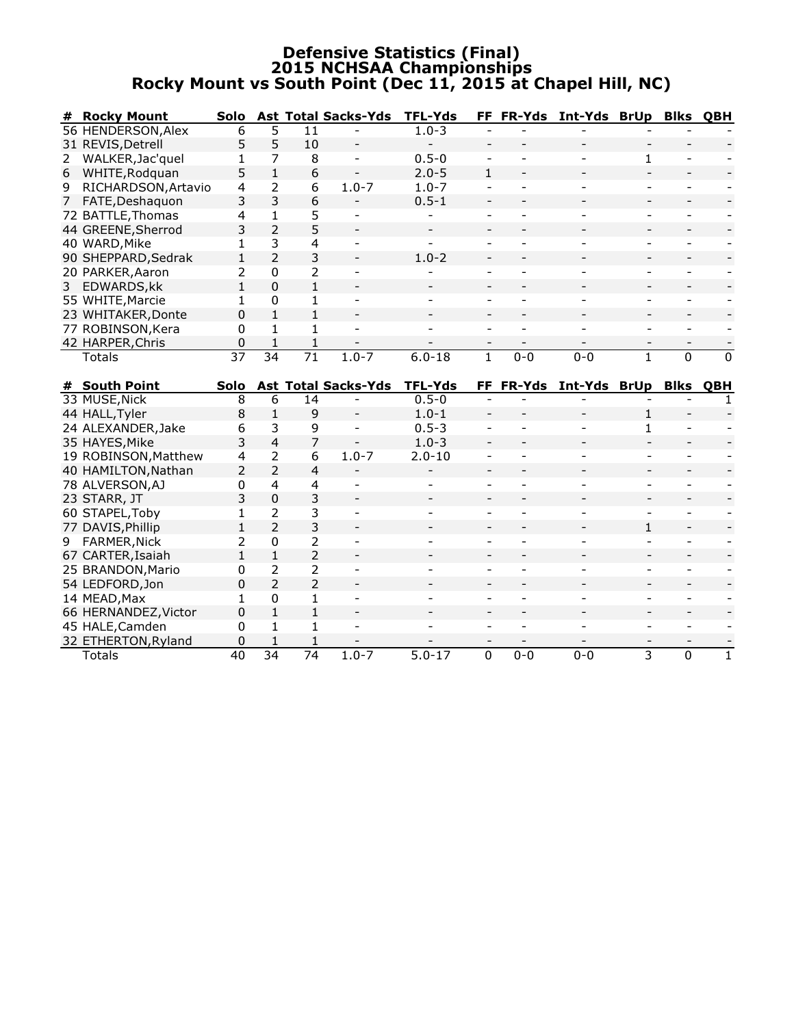### Defensive Statistics (Final) 2015 NCHSAA Championships Rocky Mount vs South Point (Dec 11, 2015 at Chapel Hill, NC)

| #              | <b>Rocky Mount</b>   | Solo            |                 |                         | <b>Ast Total Sacks-Yds</b> | <b>TFL-Yds</b> |                              |                | FF FR-Yds Int-Yds BrUp Blks QBH |                          |                |                |
|----------------|----------------------|-----------------|-----------------|-------------------------|----------------------------|----------------|------------------------------|----------------|---------------------------------|--------------------------|----------------|----------------|
|                | 56 HENDERSON, Alex   | 6               | 5               | 11                      |                            | $1.0 - 3$      |                              |                |                                 |                          |                |                |
|                | 31 REVIS, Detrell    | 5               | 5               | 10                      |                            |                |                              |                |                                 |                          |                |                |
| 2              | WALKER, Jac'quel     | 1               | 7               | 8                       |                            | $0.5 - 0$      |                              |                |                                 | $\mathbf{1}$             |                |                |
| 6              | WHITE, Rodquan       | 5               | $\mathbf{1}$    | 6                       |                            | $2.0 - 5$      | $\mathbf{1}$                 |                |                                 |                          |                |                |
| 9              | RICHARDSON, Artavio  | $\overline{4}$  | $\overline{2}$  | 6                       | $1.0 - 7$                  | $1.0 - 7$      | $\blacksquare$               |                |                                 | $\blacksquare$           |                |                |
|                | 7 FATE, Deshaquon    | 3               | 3               | 6                       |                            | $0.5 - 1$      |                              |                |                                 |                          |                |                |
|                | 72 BATTLE, Thomas    | 4               | $\mathbf{1}$    | 5                       |                            |                |                              |                |                                 |                          |                |                |
|                | 44 GREENE, Sherrod   | $\overline{3}$  | $\overline{2}$  | 5                       |                            |                |                              |                |                                 |                          |                |                |
|                | 40 WARD, Mike        | 1               | 3               | 4                       |                            |                |                              |                |                                 |                          |                |                |
|                | 90 SHEPPARD, Sedrak  | $\mathbf{1}$    | $\overline{2}$  | 3                       |                            | $1.0 - 2$      |                              |                |                                 |                          |                |                |
|                | 20 PARKER, Aaron     | 2               | 0               | 2                       |                            |                |                              |                |                                 |                          |                |                |
| 3 <sup>1</sup> | EDWARDS, kk          | $\mathbf{1}$    | 0               | $\mathbf{1}$            |                            |                |                              |                |                                 |                          |                |                |
|                | 55 WHITE, Marcie     | $\mathbf 1$     | 0               | 1                       |                            |                |                              |                |                                 |                          |                |                |
|                | 23 WHITAKER, Donte   | 0               | $\mathbf{1}$    | $\mathbf{1}$            |                            |                |                              |                |                                 |                          |                |                |
|                | 77 ROBINSON, Kera    | $\mathbf{0}$    | $\mathbf{1}$    | $\mathbf{1}$            |                            |                | $\overline{a}$               |                |                                 | $\overline{a}$           | ٠              |                |
|                | 42 HARPER, Chris     | $\Omega$        | 1               | $\mathbf{1}$            |                            |                |                              |                |                                 | $\overline{\phantom{a}}$ |                |                |
|                | <b>Totals</b>        | $\overline{37}$ | 34              | 71                      | $1.0 - 7$                  | $6.0 - 18$     | $\overline{1}$               | $0 - 0$        | $0 - 0$                         | $\mathbf{1}$             | 0              | $\overline{0}$ |
|                |                      |                 |                 |                         |                            |                |                              |                |                                 |                          |                |                |
|                | # South Point        | Solo            |                 |                         | <b>Ast Total Sacks-Yds</b> | <b>TFL-Yds</b> | FF.                          |                | FR-Yds Int-Yds BrUp Blks QBH    |                          |                |                |
|                | 33 MUSE, Nick        | 8               | 6               | 14                      |                            | $0.5 - 0$      |                              |                |                                 |                          |                | $\mathbf{1}$   |
|                | 44 HALL, Tyler       | 8               | $\mathbf{1}$    | 9                       | $\blacksquare$             | $1.0 - 1$      | $\blacksquare$               |                |                                 | $\mathbf{1}$             |                |                |
|                | 24 ALEXANDER, Jake   | 6               | 3               | 9                       | $\blacksquare$             | $0.5 - 3$      | $\qquad \qquad \blacksquare$ |                |                                 | $\mathbf{1}$             |                |                |
|                | 35 HAYES, Mike       | 3               | $\overline{4}$  | $\overline{7}$          |                            | $1.0 - 3$      |                              |                |                                 |                          |                |                |
|                | 19 ROBINSON, Matthew | 4               | $\overline{2}$  | 6                       | $1.0 - 7$                  | $2.0 - 10$     | $\overline{\phantom{a}}$     |                |                                 | $\overline{\phantom{a}}$ | ٠              |                |
|                | 40 HAMILTON, Nathan  | 2               | $\overline{2}$  | 4                       |                            |                |                              |                |                                 |                          |                |                |
|                | 78 ALVERSON, AJ      | 0               | $\overline{4}$  | $\overline{\mathbf{4}}$ |                            |                | $\blacksquare$               | $\overline{a}$ |                                 | $\blacksquare$           | ÷              |                |
|                | 23 STARR, JT         | 3               | $\mathbf 0$     | 3                       |                            |                |                              |                |                                 |                          |                |                |
|                | 60 STAPEL, Toby      | $\mathbf 1$     | $\overline{2}$  | 3                       |                            |                | $\blacksquare$               |                |                                 | ÷,                       |                |                |
|                | 77 DAVIS, Phillip    | $\mathbf{1}$    | $\overline{2}$  | $\overline{3}$          |                            |                |                              |                |                                 | $\mathbf{1}$             |                |                |
|                | 9 FARMER, Nick       | 2               | 0               | 2                       |                            |                |                              |                |                                 |                          |                |                |
|                | 67 CARTER, Isaiah    | $\mathbf{1}$    | $\mathbf{1}$    | $\overline{2}$          |                            |                |                              |                |                                 |                          |                |                |
|                | 25 BRANDON, Mario    | 0               | 2               | 2                       |                            |                |                              |                |                                 | ÷                        | $\sim$         |                |
|                | 54 LEDFORD, Jon      | $\Omega$        | $\overline{2}$  | $\overline{2}$          |                            |                |                              |                |                                 |                          |                |                |
|                | 14 MEAD, Max         | $\mathbf 1$     | 0               | 1                       |                            |                |                              |                |                                 |                          |                |                |
|                | 66 HERNANDEZ, Victor | $\Omega$        | $\mathbf{1}$    | $\mathbf{1}$            |                            |                |                              |                |                                 |                          |                |                |
|                | 45 HALE, Camden      | 0               | 1               | $\mathbf{1}$            |                            |                |                              |                |                                 |                          |                |                |
|                | 32 ETHERTON, Ryland  | 0               | 1               | 1                       |                            |                |                              |                |                                 |                          |                |                |
|                | <b>Totals</b>        | $\overline{40}$ | $\overline{34}$ | $\overline{74}$         | $1.0 - 7$                  | $5.0 - 17$     | 0                            | $0 - 0$        | $0 - 0$                         | 3                        | $\overline{0}$ | $\mathbf{1}$   |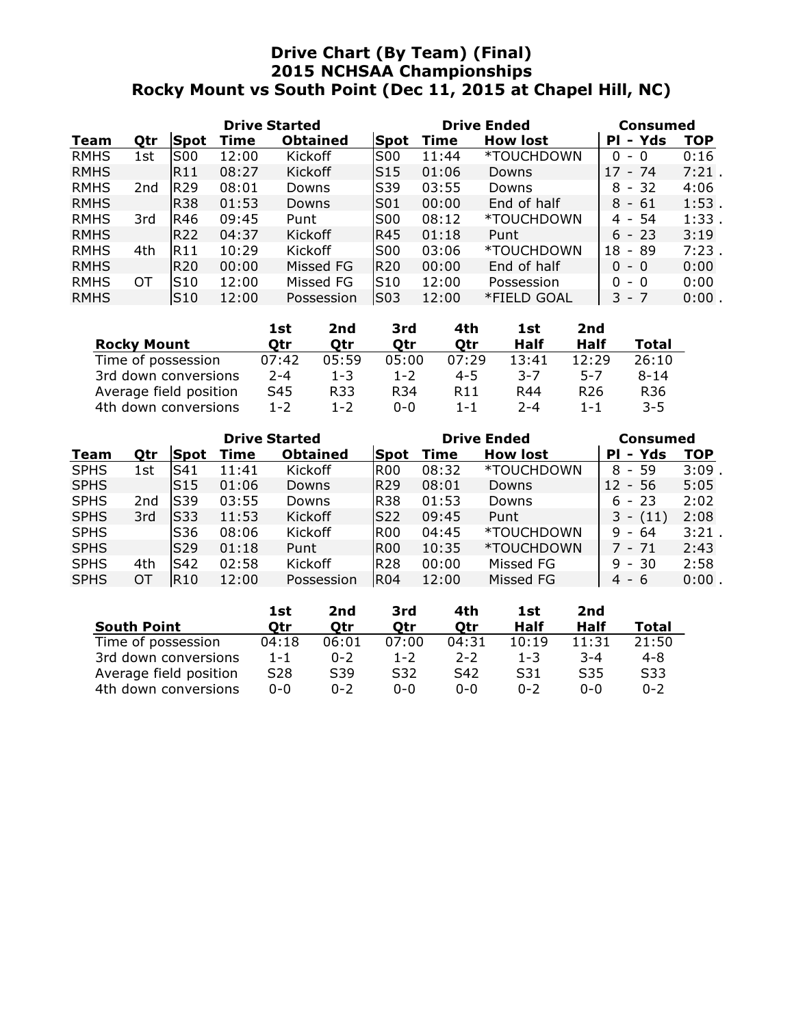# Drive Chart (By Team) (Final) 2015 NCHSAA Championships Rocky Mount vs South Point (Dec 11, 2015 at Chapel Hill, NC)

| <b>Drive Started</b> |     |                 |       |                 |             | <b>Drive Ended</b> |                 | Consumed    |            |  |
|----------------------|-----|-----------------|-------|-----------------|-------------|--------------------|-----------------|-------------|------------|--|
| Team                 | Qtr | Spot            | Time  | <b>Obtained</b> | <b>Spot</b> | Time               | <b>How lost</b> | - Yds<br>PI | <b>TOP</b> |  |
| <b>RMHS</b>          | 1st | <b>S00</b>      | 12:00 | Kickoff         | <b>S00</b>  | 11:44              | *TOUCHDOWN      | 0<br>- 0    | 0:16       |  |
| <b>RMHS</b>          |     | R11             | 08:27 | Kickoff         | S15         | 01:06              | Downs           | - 74<br>17  | $7:21$ .   |  |
| <b>RMHS</b>          | 2nd | <b>R29</b>      | 08:01 | Downs           | S39         | 03:55              | Downs           | - 32<br>8   | 4:06       |  |
| <b>RMHS</b>          |     | <b>R38</b>      | 01:53 | Downs           | S01         | 00:00              | End of half     | - 61<br>8   | $1:53$ .   |  |
| <b>RMHS</b>          | 3rd | R46             | 09:45 | Punt            | <b>S00</b>  | 08:12              | *TOUCHDOWN      | - 54<br>4   | 1:33       |  |
| <b>RMHS</b>          |     | <b>R22</b>      | 04:37 | <b>Kickoff</b>  | R45         | 01:18              | Punt            | $6 - 23$    | 3:19       |  |
| <b>RMHS</b>          | 4th | IR11            | 10:29 | Kickoff         | <b>S00</b>  | 03:06              | *TOUCHDOWN      | 18<br>- 89  | 7:23       |  |
| <b>RMHS</b>          |     | <b>R20</b>      | 00:00 | Missed FG       | <b>R20</b>  | 00:00              | End of half     | 0<br>- 0    | 0:00       |  |
| <b>RMHS</b>          | ОT  | S <sub>10</sub> | 12:00 | Missed FG       | S10         | 12:00              | Possession      | 0<br>- 0    | 0:00       |  |
| <b>RMHS</b>          |     | S10             | 12:00 | Possession      | <b>S03</b>  | 12:00              | *FIELD GOAL     | З.<br>- 7   | 0:00       |  |

|                        | 1st     | 2nd     | 3rd     | 4th             | 1st     | 2nd             |                 |
|------------------------|---------|---------|---------|-----------------|---------|-----------------|-----------------|
| <b>Rocky Mount</b>     | Otr     | Otr     | Otr     | Otr             | Half    | Half            | Total           |
| Time of possession     | 07:42   | 05:59   | 05:00   | 07:29           | 13:41   | 12:29           | 26:10           |
| 3rd down conversions   | $2 - 4$ | $1 - 3$ | $1 - 2$ | $4 - 5$         | $3 - 7$ | 5-7             | $8 - 14$        |
| Average field position | S45     | R33     | R34     | R <sub>11</sub> | R44     | R <sub>26</sub> | R <sub>36</sub> |
| 4th down conversions   | $1 - 2$ | 1-2     | 0-0     | $1 - 1$         | $2 - 4$ | $1 - 1$         | $3 - 5$         |

| <b>Drive Started</b> |     |                 |       |                 |            | <b>Drive Ended</b> | <b>Consumed</b> |             |            |
|----------------------|-----|-----------------|-------|-----------------|------------|--------------------|-----------------|-------------|------------|
| Team                 | Qtr | Spot            | Time  | <b>Obtained</b> | Spot       | Time               | <b>How lost</b> | - Yds<br>PI | <b>TOP</b> |
| <b>SPHS</b>          | 1st | S41             | 11:41 | Kickoff         | IROO       | 08:32              | *TOUCHDOWN      | $8 - 59$    | 3:09       |
| <b>SPHS</b>          |     | IS15            | 01:06 | <b>Downs</b>    | R29        | 08:01              | Downs           | - 56<br>12  | 5:05       |
| <b>SPHS</b>          | 2nd | lS39            | 03:55 | Downs           | <b>R38</b> | 01:53              | Downs           | $6 - 23$    | 2:02       |
| <b>SPHS</b>          | 3rd | lS33            | 11:53 | Kickoff         | lS22       | 09:45              | Punt            | $3 - (11)$  | 2:08       |
| <b>SPHS</b>          |     | S <sub>36</sub> | 08:06 | Kickoff         | IR00       | 04:45              | *TOUCHDOWN      | $9 - 64$    | 3:21       |
| <b>SPHS</b>          |     | lS29            | 01:18 | Punt            | IROO       | 10:35              | *TOUCHDOWN      | $7 - 71$    | 2:43       |
| <b>SPHS</b>          | 4th | S42             | 02:58 | Kickoff         | <b>R28</b> | 00:00              | Missed FG       | $9 - 30$    | 2:58       |
| <b>SPHS</b>          | OТ  | R10             | 12:00 | Possession      | IR04       | 12:00              | Missed FG       | 4<br>- 6    | $0:00$ .   |

|                        | 1st             | 2nd     | 3rd     | 4th     | 1st     | 2nd             |         |
|------------------------|-----------------|---------|---------|---------|---------|-----------------|---------|
| <b>South Point</b>     | Otr             | Otr     | Otr     | Otr     | Half    | Half            | Total   |
| Time of possession     | 04:18           | 06:01   | 07:00   | 04:31   | 10:19   | 11:31           | 21:50   |
| 3rd down conversions   | $1 - 1$         | $0 - 2$ | $1 - 2$ | $2 - 2$ | $1 - 3$ | $-3-4$          | 4-8     |
| Average field position | S <sub>28</sub> | S39     | S32     | S42     | S31     | S <sub>35</sub> | S33     |
| 4th down conversions   | 0-0             | $0 - 2$ | $0 - 0$ | $0 - 0$ | በ-2     | ი-ი             | $0 - 2$ |